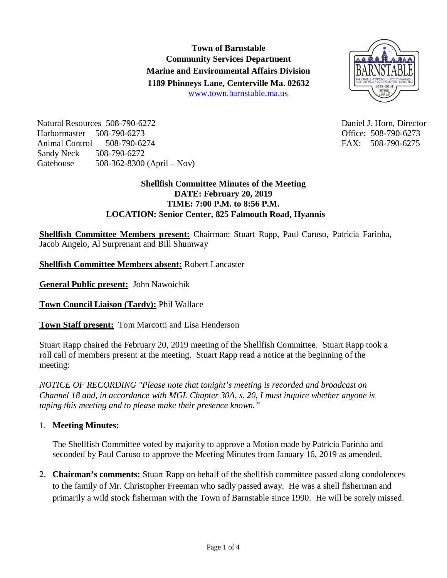**Town of Barnstable Community Services Department Marine and Environmental Affairs Division 1189 Phinneys Lane, Centerville Ma. 02632** www.town.barnstable.ma.us



Natural Resources 508-790-6272 Daniel J. Horn, Director Harbormaster 508-790-6273 Office: 508-790-6273 Animal Control 508-790-6274 FAX: 508-790-6275 Sandy Neck 508-790-6272 Gatehouse 508-362-8300 (April – Nov)

## **Shellfish Committee Minutes of the Meeting DATE: February 20, 2019 TIME: 7:00 P.M. to 8:56 P.M. LOCATION: Senior Center, 825 Falmouth Road, Hyannis**

**Shellfish Committee Members present:** Chairman: Stuart Rapp, Paul Caruso, Patricia Farinha, Jacob Angelo, Al Surprenant and Bill Shumway

**Shellfish Committee Members absent:** Robert Lancaster

**General Public present:** John Nawoichik

**Town Council Liaison (Tardy):** Phil Wallace

**Town Staff present:** Tom Marcotti and Lisa Henderson

Stuart Rapp chaired the February 20, 2019 meeting of the Shellfish Committee. Stuart Rapp took a roll call of members present at the meeting. Stuart Rapp read a notice at the beginning of the meeting:

*NOTICE OF RECORDING "Please note that tonight's meeting is recorded and broadcast on Channel 18 and, in accordance with MGL Chapter 30A, s. 20, I must inquire whether anyone is taping this meeting and to please make their presence known."*

# 1. **Meeting Minutes:**

The Shellfish Committee voted by majority to approve a Motion made by Patricia Farinha and seconded by Paul Caruso to approve the Meeting Minutes from January 16, 2019 as amended.

2. **Chairman's comments:** Stuart Rapp on behalf of the shellfish committee passed along condolences to the family of Mr. Christopher Freeman who sadly passed away. He was a shell fisherman and primarily a wild stock fisherman with the Town of Barnstable since 1990. He will be sorely missed.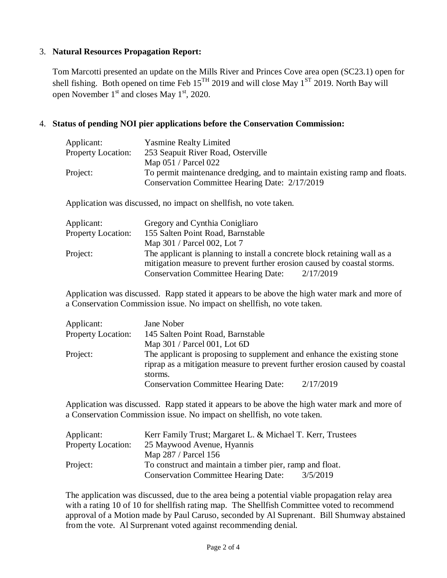## 3. **Natural Resources Propagation Report:**

Tom Marcotti presented an update on the Mills River and Princes Cove area open (SC23.1) open for shell fishing. Both opened on time Feb  $15^{TH}$  2019 and will close May  $1^{ST}$  2019. North Bay will open November  $1<sup>st</sup>$  and closes May  $1<sup>st</sup>$ , 2020.

### 4. **Status of pending NOI pier applications before the Conservation Commission:**

| Applicant:                | <b>Yasmine Realty Limited</b>                                             |
|---------------------------|---------------------------------------------------------------------------|
| <b>Property Location:</b> | 253 Seapuit River Road, Osterville                                        |
|                           | Map $051 /$ Parcel $022$                                                  |
| Project:                  | To permit maintenance dredging, and to maintain existing ramp and floats. |
|                           | Conservation Committee Hearing Date: 2/17/2019                            |
|                           |                                                                           |

Application was discussed, no impact on shellfish, no vote taken.

| Applicant:                | Gregory and Cynthia Conigliaro                                            |
|---------------------------|---------------------------------------------------------------------------|
| <b>Property Location:</b> | 155 Salten Point Road, Barnstable                                         |
|                           | Map 301 / Parcel 002, Lot 7                                               |
| Project:                  | The applicant is planning to install a concrete block retaining wall as a |
|                           | mitigation measure to prevent further erosion caused by coastal storms.   |
|                           | <b>Conservation Committee Hearing Date:</b><br>2/17/2019                  |

Application was discussed. Rapp stated it appears to be above the high water mark and more of a Conservation Commission issue. No impact on shellfish, no vote taken.

| Applicant:                | Jane Nober                                                                  |           |
|---------------------------|-----------------------------------------------------------------------------|-----------|
| <b>Property Location:</b> | 145 Salten Point Road, Barnstable                                           |           |
|                           | Map $301 /$ Parcel 001, Lot 6D                                              |           |
| Project:                  | The applicant is proposing to supplement and enhance the existing stone     |           |
|                           | riprap as a mitigation measure to prevent further erosion caused by coastal |           |
|                           | storms.                                                                     |           |
|                           | <b>Conservation Committee Hearing Date:</b>                                 | 2/17/2019 |

Application was discussed. Rapp stated it appears to be above the high water mark and more of a Conservation Commission issue. No impact on shellfish, no vote taken.

| Applicant:                | Kerr Family Trust; Margaret L. & Michael T. Kerr, Trustees |  |
|---------------------------|------------------------------------------------------------|--|
| <b>Property Location:</b> | 25 Maywood Avenue, Hyannis                                 |  |
|                           | Map 287 / Parcel 156                                       |  |
| Project:                  | To construct and maintain a timber pier, ramp and float.   |  |
|                           | <b>Conservation Committee Hearing Date:</b><br>3/5/2019    |  |

The application was discussed, due to the area being a potential viable propagation relay area with a rating 10 of 10 for shellfish rating map. The Shellfish Committee voted to recommend approval of a Motion made by Paul Caruso, seconded by Al Suprenant. Bill Shumway abstained from the vote. Al Surprenant voted against recommending denial.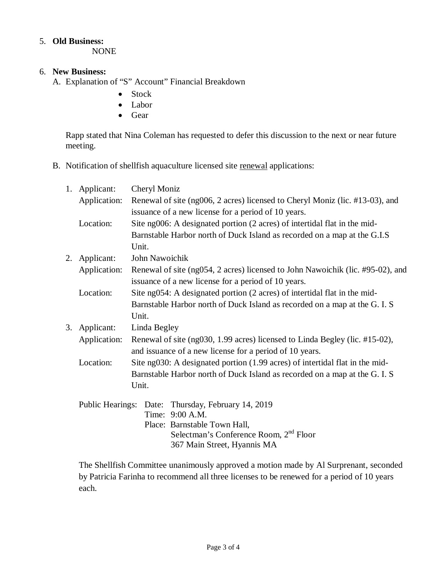#### 5. **Old Business:**

NONE

## 6. **New Business:**

- A. Explanation of "S" Account" Financial Breakdown
	- Stock
	- Labor
	- Gear

Rapp stated that Nina Coleman has requested to defer this discussion to the next or near future meeting.

B. Notification of shellfish aquaculture licensed site renewal applications:

|    | 1. Applicant: | Cheryl Moniz                                                                                                                          |       |
|----|---------------|---------------------------------------------------------------------------------------------------------------------------------------|-------|
|    | Application:  | Renewal of site (ng006, 2 acres) licensed to Cheryl Moniz (lic. #13-03), and                                                          |       |
|    |               | issuance of a new license for a period of 10 years.                                                                                   |       |
|    | Location:     | Site ng006: A designated portion (2 acres) of intertidal flat in the mid-                                                             |       |
|    |               | Barnstable Harbor north of Duck Island as recorded on a map at the G.I.S                                                              |       |
|    |               | Unit.                                                                                                                                 |       |
| 2. | Applicant:    | John Nawoichik                                                                                                                        |       |
|    | Application:  | Renewal of site (ng054, 2 acres) licensed to John Nawoichik (lic. #95-02), and<br>issuance of a new license for a period of 10 years. |       |
|    | Location:     | Site ng054: A designated portion (2 acres) of intertidal flat in the mid-                                                             |       |
|    |               | Barnstable Harbor north of Duck Island as recorded on a map at the G. I. S                                                            |       |
|    |               |                                                                                                                                       | Unit. |
| 3. | Applicant:    | Linda Begley                                                                                                                          |       |
|    | Application:  | Renewal of site (ng030, 1.99 acres) licensed to Linda Begley (lic. #15-02),                                                           |       |
|    |               | and issuance of a new license for a period of 10 years.                                                                               |       |
|    | Location:     | Site ng030: A designated portion (1.99 acres) of intertidal flat in the mid-                                                          |       |
|    |               | Barnstable Harbor north of Duck Island as recorded on a map at the G.I.S                                                              |       |
|    |               | Unit.                                                                                                                                 |       |
|    |               | Public Hearings: Date: Thursday, February 14, 2019                                                                                    |       |
|    |               | Time: 9:00 A.M.                                                                                                                       |       |
|    |               | Place: Barnstable Town Hall,                                                                                                          |       |
|    |               | Selectman's Conference Room, 2 <sup>nd</sup> Floor                                                                                    |       |
|    |               | 367 Main Street, Hyannis MA                                                                                                           |       |

The Shellfish Committee unanimously approved a motion made by Al Surprenant, seconded by Patricia Farinha to recommend all three licenses to be renewed for a period of 10 years each.